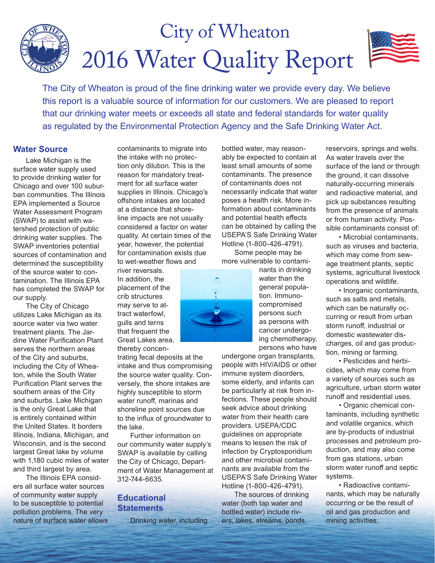# 2016 Water Quality Report City of Wheaton

The City of Wheaton is proud of the fine drinking water we provide every day. We believe this report is a valuable source of information for our customers. We are pleased to report that our drinking water meets or exceeds all state and federal standards for water quality as regulated by the Environmental Protection Agency and the Safe Drinking Water Act.

### **Water Source**

Lake Michigan is the surface water supply used to provide drinking water for Chicago and over 100 suburban communities. The Illinois EPA implemented a Source Water Assessment Program (SWAP) to assist with watershed protection of public drinking water supplies. The SWAP inventories potential sources of contamination and determined the susceptibility of the source water to contamination. The Illinois EPA has completed the SWAP for our supply.

The City of Chicago utilizes Lake Michigan as its source water via two water treatment plants. The Jardine Water Purification Plant serves the northern areas of the City and suburbs, including the City of Wheaton, while the South Water Purification Plant serves the southern areas of the City and suburbs. Lake Michigan is the only Great Lake that is entirely contained within the United States. It borders Illinois, Indiana, Michigan, and Wisconsin, and is the second largest Great lake by volume with 1,180 cubic miles of water and third largest by area.

The Illinois EPA considers all surface water sources of community water supply to be susceptible to potential pollution problems. The very nature of surface water allows contaminants to migrate into the intake with no protection only dilution. This is the reason for mandatory treatment for all surface water supplies in Illinois. Chicago's offshore intakes are located at a distance that shoreline impacts are not usually considered a factor on water quality. At certain times of the year, however, the potential for contamination exists due to wet-weather flows and

river reversals. In addition, the placement of the crib structures may serve to attract waterfowl, gulls and terns that frequent the Great Lakes area, thereby concen-

trating fecal deposits at the intake and thus compromising the source water quality. Conversely, the shore intakes are highly susceptible to storm water runoff, marinas and shoreline point sources due to the influx of groundwater to the lake.

Further information on our community water supply's SWAP is available by calling the City of Chicago, Department of Water Management at 312-744-6635.

### **Educational Statements**

Drinking water, including

bottled water, may reasonably be expected to contain at least small amounts of some contaminants. The presence of contaminants does not necessarily indicate that water poses a health risk. More information about contaminants and potential health effects can be obtained by calling the USEPA'S Safe Drinking Water Hotline (1-800-426-4791).

Some people may be more vulnerable to contami-



nants in drinking water than the general population. Immunocompromised persons such as persons with cancer undergoing chemotherapy, persons who have

undergone organ transplants, people with HIV/AIDS or other immune system disorders, some elderly, and infants can be particularly at risk from infections. These people should seek advice about drinking water from their health care providers. USEPA/CDC guidelines on appropriate means to lessen the risk of infection by Cryptosporidium and other microbial contaminants are available from the USEPA'S Safe Drinking Water Hotline (1-800-426-4791).

The sources of drinking water (both tap water and bottled water) include rivers, lakes, streams, ponds,

reservoirs, springs and wells. As water travels over the surface of the land or through the ground, it can dissolve naturally-occurring minerals and radioactive material, and pick up substances resulting from the presence of animals or from human activity. Possible contaminants consist of:

• Microbial contaminants, such as viruses and bacteria, which may come from sewage treatment plants, septic systems, agricultural livestock operations and wildlife.

• Inorganic contaminants, such as salts and metals, which can be naturally occurring or result from urban storm runoff, industrial or domestic wastewater discharges, oil and gas production, mining or farming.

• Pesticides and herbicides, which may come from a variety of sources such as agriculture, urban storm water runoff and residential uses.

• Organic chemical contaminants, including synthetic and volatile organics, which are by-products of industrial processes and petroleum production, and may also come from gas stations, urban storm water runoff and septic systems.

• Radioactive contaminants, which may be naturally occurring or be the result of oil and gas production and mining activities.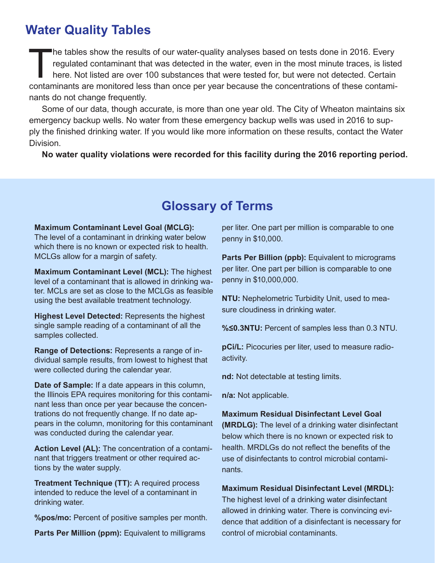# **Water Quality Tables**

The tables show the results of our water-quality analyses based on tests done in 2016. Every<br>regulated contaminant that was detected in the water, even in the most minute traces, is listed<br>here. Not listed are over 100 sub regulated contaminant that was detected in the water, even in the most minute traces, is listed here. Not listed are over 100 substances that were tested for, but were not detected. Certain contaminants are monitored less than once per year because the concentrations of these contaminants do not change frequently.

Some of our data, though accurate, is more than one year old. The City of Wheaton maintains six emergency backup wells. No water from these emergency backup wells was used in 2016 to supply the finished drinking water. If you would like more information on these results, contact the Water Division.

**No water quality violations were recorded for this facility during the 2016 reporting period.**

# **Glossary of Terms**

#### **Maximum Contaminant Level Goal (MCLG):**

The level of a contaminant in drinking water below which there is no known or expected risk to health. MCLGs allow for a margin of safety.

**Maximum Contaminant Level (MCL):** The highest level of a contaminant that is allowed in drinking water. MCLs are set as close to the MCLGs as feasible using the best available treatment technology.

**Highest Level Detected:** Represents the highest single sample reading of a contaminant of all the samples collected.

**Range of Detections:** Represents a range of individual sample results, from lowest to highest that were collected during the calendar year.

**Date of Sample:** If a date appears in this column, the Illinois EPA requires monitoring for this contaminant less than once per year because the concentrations do not frequently change. If no date appears in the column, monitoring for this contaminant was conducted during the calendar year.

**Action Level (AL):** The concentration of a contaminant that triggers treatment or other required actions by the water supply.

**Treatment Technique (TT):** A required process intended to reduce the level of a contaminant in drinking water.

**%pos/mo:** Percent of positive samples per month.

Parts Per Million (ppm): Equivalent to milligrams

per liter. One part per million is comparable to one penny in \$10,000.

**Parts Per Billion (ppb):** Equivalent to micrograms per liter. One part per billion is comparable to one penny in \$10,000,000.

**NTU:** Nephelometric Turbidity Unit, used to measure cloudiness in drinking water.

**%≤0.3NTU:** Percent of samples less than 0.3 NTU.

**pCi/L:** Picocuries per liter, used to measure radioactivity.

**nd:** Not detectable at testing limits.

**n/a:** Not applicable.

#### **Maximum Residual Disinfectant Level Goal**

**(MRDLG):** The level of a drinking water disinfectant below which there is no known or expected risk to health. MRDLGs do not reflect the benefits of the use of disinfectants to control microbial contaminants.

#### **Maximum Residual Disinfectant Level (MRDL):**

The highest level of a drinking water disinfectant allowed in drinking water. There is convincing evidence that addition of a disinfectant is necessary for control of microbial contaminants.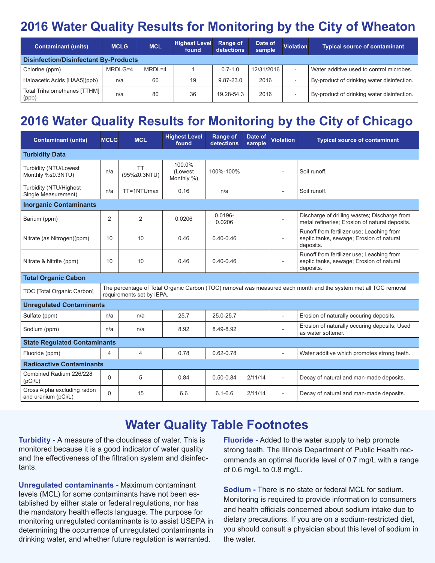# **2016 Water Quality Results for Monitoring by the City of Wheaton**

| <b>Contaminant (units)</b>                   | <b>MCLG</b> | <b>MCL</b> | <b>Highest Level</b><br>found | <b>Range of</b><br>detections | Date of<br>sample | <b>Violation</b>         | <b>Typical source of contaminant</b>       |  |  |  |  |
|----------------------------------------------|-------------|------------|-------------------------------|-------------------------------|-------------------|--------------------------|--------------------------------------------|--|--|--|--|
| <b>Disinfection/Disinfectant By-Products</b> |             |            |                               |                               |                   |                          |                                            |  |  |  |  |
| Chlorine (ppm)                               | MRDLG=4     | $MRDL=4$   |                               | $0.7 - 1.0$                   | 12/31/2016        | $\overline{\phantom{0}}$ | Water additive used to control microbes.   |  |  |  |  |
| Haloacetic Acids [HAA5](ppb)                 | n/a         | 60         | 19                            | 9.87-23.0                     | 2016              | $\overline{\phantom{a}}$ | By-product of drinking water disinfection. |  |  |  |  |
| Total Trihalomethanes [TTHM]  <br>(ppb)      | n/a         | 80         | 36                            | 19.28-54.3                    | 2016              | $\overline{\phantom{a}}$ | By-product of drinking water disinfection. |  |  |  |  |

# **2016 Water Quality Results for Monitoring by the City of Chicago**

| <b>Contaminant (units)</b>                         | <b>MCLG</b>                                                                                                                                  | <b>MCL</b>                | <b>Highest Level</b><br>found   | <b>Range of</b><br>detections | Date of<br>sample | <b>Violation</b>         | <b>Typical source of contaminant</b>                                                               |  |  |  |
|----------------------------------------------------|----------------------------------------------------------------------------------------------------------------------------------------------|---------------------------|---------------------------------|-------------------------------|-------------------|--------------------------|----------------------------------------------------------------------------------------------------|--|--|--|
| <b>Turbidity Data</b>                              |                                                                                                                                              |                           |                                 |                               |                   |                          |                                                                                                    |  |  |  |
| Turbidity (NTU/Lowest<br>Monthly %≤0.3NTU)         | n/a                                                                                                                                          | <b>TT</b><br>(95%≤0.3NTU) | 100.0%<br>(Lowest<br>Monthly %) | 100%-100%                     |                   |                          | Soil runoff.                                                                                       |  |  |  |
| Turbidity (NTU/Highest<br>Single Measurement)      | n/a                                                                                                                                          | TT=1NTUmax                | 0.16                            | n/a                           |                   | $\overline{\phantom{a}}$ | Soil runoff.                                                                                       |  |  |  |
| <b>Inorganic Contaminants</b>                      |                                                                                                                                              |                           |                                 |                               |                   |                          |                                                                                                    |  |  |  |
| Barium (ppm)                                       | $\overline{2}$                                                                                                                               | 2                         | 0.0206                          | $0.0196 -$<br>0.0206          |                   |                          | Discharge of drilling wastes; Discharge from<br>metal refineries; Erosion of natural deposits.     |  |  |  |
| Nitrate (as Nitrogen)(ppm)                         | 10                                                                                                                                           | 10                        | 0.46                            | $0.40 - 0.46$                 |                   | $\blacksquare$           | Runoff from fertilizer use; Leaching from<br>septic tanks, sewage; Erosion of natural<br>deposits. |  |  |  |
| Nitrate & Nitrite (ppm)                            | 10                                                                                                                                           | 10                        | 0.46                            | $0.40 - 0.46$                 |                   |                          | Runoff from fertilizer use; Leaching from<br>septic tanks, sewage; Erosion of natural<br>deposits. |  |  |  |
| <b>Total Organic Cabon</b>                         |                                                                                                                                              |                           |                                 |                               |                   |                          |                                                                                                    |  |  |  |
| TOC [Total Organic Carbon]                         | The percentage of Total Organic Carbon (TOC) removal was measured each month and the system met all TOC removal<br>requirements set by IEPA. |                           |                                 |                               |                   |                          |                                                                                                    |  |  |  |
| <b>Unregulated Contaminants</b>                    |                                                                                                                                              |                           |                                 |                               |                   |                          |                                                                                                    |  |  |  |
| Sulfate (ppm)                                      | n/a                                                                                                                                          | n/a                       | 25.7                            | 25.0-25.7                     |                   |                          | Erosion of naturally occuring deposits.                                                            |  |  |  |
| Sodium (ppm)                                       | n/a                                                                                                                                          | n/a                       | 8.92                            | 8.49-8.92                     |                   |                          | Erosion of naturally occuring deposits; Used<br>as water softener.                                 |  |  |  |
| <b>State Regulated Contaminants</b>                |                                                                                                                                              |                           |                                 |                               |                   |                          |                                                                                                    |  |  |  |
| Fluoride (ppm)                                     | 4                                                                                                                                            | 4                         | 0.78                            | $0.62 - 0.78$                 |                   | L,                       | Water additive which promotes strong teeth.                                                        |  |  |  |
| <b>Radioactive Contaminants</b>                    |                                                                                                                                              |                           |                                 |                               |                   |                          |                                                                                                    |  |  |  |
| Combined Radium 226/228<br>(pCi/L)                 | $\Omega$                                                                                                                                     | 5                         | 0.84                            | $0.50 - 0.84$                 | 2/11/14           | $\overline{a}$           | Decay of natural and man-made deposits.                                                            |  |  |  |
| Gross Alpha excluding radon<br>and uranium (pCi/L) | $\Omega$                                                                                                                                     | 15                        | 6.6                             | $6.1 - 6.6$                   | 2/11/14           | $\overline{\phantom{a}}$ | Decay of natural and man-made deposits.                                                            |  |  |  |

# **Water Quality Table Footnotes**

**Turbidity -** A measure of the cloudiness of water. This is monitored because it is a good indicator of water quality and the effectiveness of the filtration system and disinfectants.

**Unregulated contaminants -** Maximum contaminant levels (MCL) for some contaminants have not been established by either state or federal regulations, nor has the mandatory health effects language. The purpose for monitoring unregulated contaminants is to assist USEPA in determining the occurrence of unregulated contaminants in drinking water, and whether future regulation is warranted.

**Fluoride -** Added to the water supply to help promote strong teeth. The Illinois Department of Public Health recommends an optimal fluoride level of 0.7 mg/L with a range of 0.6 mg/L to 0.8 mg/L.

**Sodium -** There is no state or federal MCL for sodium. Monitoring is required to provide information to consumers and health officials concerned about sodium intake due to dietary precautions. If you are on a sodium-restricted diet, you should consult a physician about this level of sodium in the water.